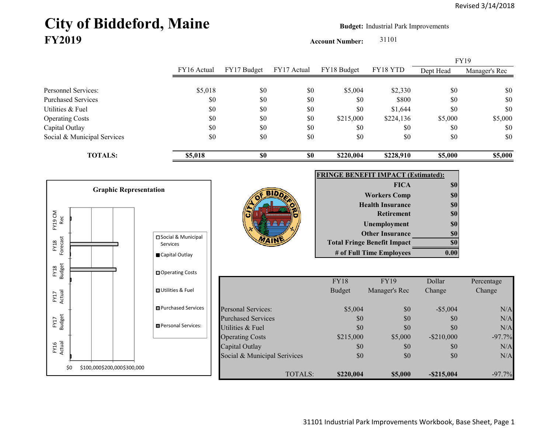## City of Biddeford, Maine **Budget: Industrial Park Improvements FY2019**

**Account Number:** 31101

FY16 Actual FY17 Budget FY17 Actual FY18 Budget FY18 YTD Dept Head Manager's Rec Personnel Services: \$5,018 \$0 \$0 \$5,004 \$2,330 \$0 \$0 Purchased Services \$0 \$0 \$0 \$0 \$800 \$0 \$0 Utilities & Fuel  $$0$   $$0$   $$0$   $$0$   $$0$   $$0$   $$0$   $$1,644$   $$0$   $$0$ Operating Costs 65,000 \$1,000 \$1,000 \$224,136 \$5,000 \$2,000 \$5,000 \$5,000 \$5,000 \$5,000 \$5,000 \$5,000 \$5,000 \$ Capital Outlay \$0 \$0 \$0 \$0 \$0 \$0 Social & Municipal Services \$0 \$0 \$0 \$0 \$0 \$0 \$0 **TOTALS: \$5,018 \$0 \$0 \$220,004 \$228,910 \$5,000 \$5,000** FY19

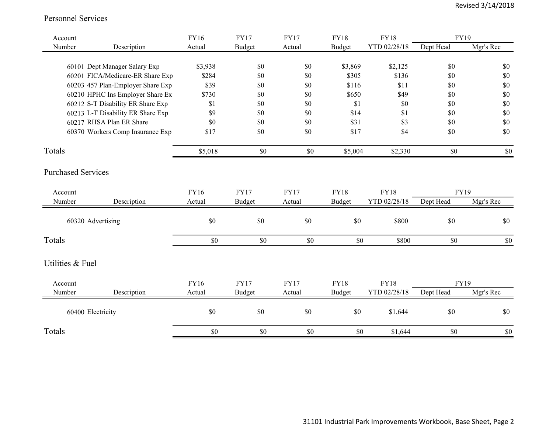## Personnel Services

| Account                   |                                   | <b>FY16</b> | <b>FY17</b>   | <b>FY17</b> | <b>FY18</b>   | <b>FY18</b>  | <b>FY19</b> |           |
|---------------------------|-----------------------------------|-------------|---------------|-------------|---------------|--------------|-------------|-----------|
| Number                    | Description                       | Actual      | <b>Budget</b> | Actual      | <b>Budget</b> | YTD 02/28/18 | Dept Head   | Mgr's Rec |
|                           | 60101 Dept Manager Salary Exp     | \$3,938     | $\$0$         | $\$0$       | \$3,869       | \$2,125      | \$0         | \$0       |
|                           | 60201 FICA/Medicare-ER Share Exp  | \$284       | \$0           | \$0         | \$305         | \$136        | \$0         | \$0       |
|                           | 60203 457 Plan-Employer Share Exp | \$39        | \$0           | \$0         | \$116         | \$11         | \$0         | \$0       |
|                           | 60210 HPHC Ins Employer Share Ex  | \$730       | \$0           | \$0         | \$650         | \$49         | \$0         | \$0       |
|                           | 60212 S-T Disability ER Share Exp | \$1         | \$0           | \$0         | \$1           | \$0          | \$0         | \$0       |
|                           | 60213 L-T Disability ER Share Exp | \$9         | \$0           | \$0         | \$14          | \$1          | \$0         | $\$0$     |
| 60217 RHSA Plan ER Share  |                                   | \$0         | \$0           | \$0         | \$31          | \$3          | \$0         | $\$0$     |
|                           | 60370 Workers Comp Insurance Exp  | \$17        | \$0           | \$0         | \$17          | \$4          | \$0         | \$0       |
| Totals                    |                                   | \$5,018     | $\$0$         | $\$0$       | \$5,004       | \$2,330      | $\$0$       | \$0       |
| <b>Purchased Services</b> |                                   |             |               |             |               |              |             |           |
| Account                   |                                   | <b>FY16</b> | <b>FY17</b>   | <b>FY17</b> | <b>FY18</b>   | <b>FY18</b>  | <b>FY19</b> |           |
| Number                    | Description                       | Actual      | <b>Budget</b> | Actual      | <b>Budget</b> | YTD 02/28/18 | Dept Head   | Mgr's Rec |
| 60320 Advertising         |                                   | \$0         | \$0           | \$0         | \$0           | \$800        | \$0         | \$0       |
| Totals                    |                                   | \$0         | $\$0$         | \$0         | $\$0$         | \$800        | \$0         | \$0       |
| Utilities & Fuel          |                                   |             |               |             |               |              |             |           |
| Account                   |                                   | FY16        | <b>FY17</b>   | <b>FY17</b> | <b>FY18</b>   | <b>FY18</b>  | FY19        |           |
| Number                    | Description                       | Actual      | <b>Budget</b> | Actual      | <b>Budget</b> | YTD 02/28/18 | Dept Head   | Mgr's Rec |
| 60400 Electricity         |                                   | \$0         | \$0           | \$0         | \$0           | \$1,644      | \$0         | \$0       |
| Totals                    |                                   | \$0         | $\$0$         | $\$0$       | $\$0$         | \$1,644      | $\$0$       | $\$0$     |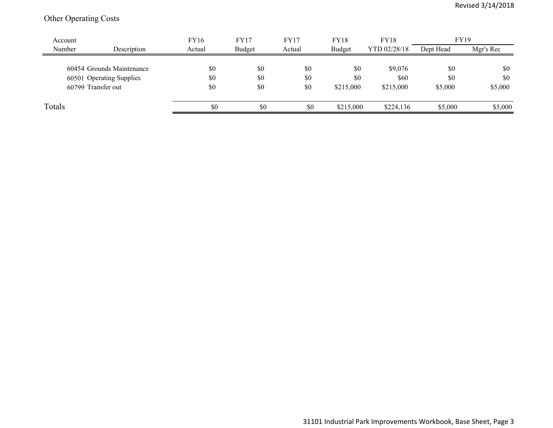## Other Operating Costs

| Account                   |             | <b>FY16</b> | <b>FY17</b> | FY17   | <b>FY18</b>   | <b>FY18</b>  | <b>FY19</b> |           |
|---------------------------|-------------|-------------|-------------|--------|---------------|--------------|-------------|-----------|
| Number                    | Description | Actual      | Budget      | Actual | <b>Budget</b> | YTD 02/28/18 | Dept Head   | Mgr's Rec |
|                           |             |             |             |        |               |              |             |           |
| 60454 Grounds Maintenance |             | \$0         | \$0         | \$0    | \$0           | \$9,076      | \$0         | \$0       |
| 60501 Operating Supplies  |             | \$0         | \$0         | \$0    | \$0           | \$60         | \$0         | \$0       |
| 60799 Transfer out        |             | \$0         | \$0         | \$0    | \$215,000     | \$215,000    | \$5,000     | \$5,000   |
| Totals                    |             | \$0         | \$0         | \$0    | \$215,000     | \$224,136    | \$5,000     | \$5,000   |